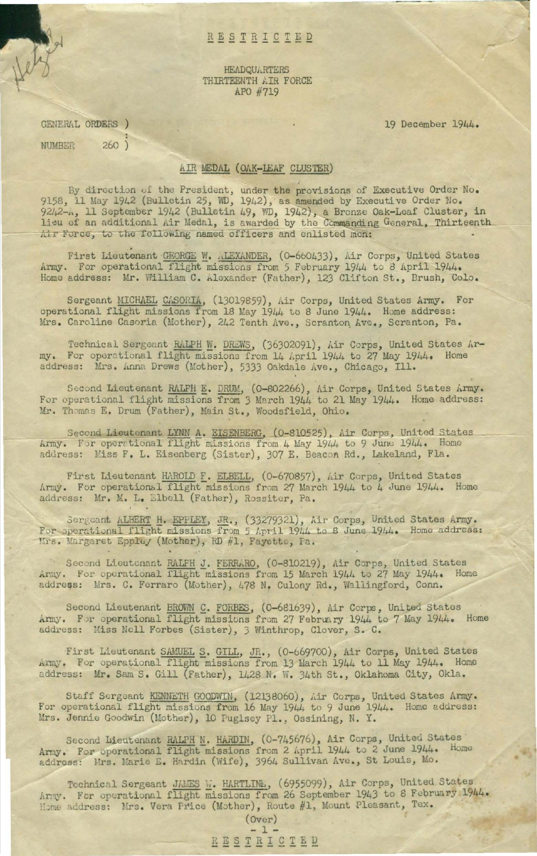## RESTRICTED

**HEADQUARTERS** THIRTEENTH AIR FORCE APO #719

19 December 1944.

GENERAL ORDERS )  $260)$ NUMBER

## AIR MEDAL (OAK-LEAF CLUSTER)

By direction of the President, under the provisions of Executive Order No. 9158, 11 May 1942 (Bulletin 25, WD, 1942), as amended by Executive Order No. 9242-h, 11 September 1942 (Bulletin 49, WD, 1942), a Bronze Oak-Leaf Cluster, in lieu of an additional Air Medal, is awarded by the Commanding General, Thirteenth Air Force, to the following named officers and enlisted men:

First Lieutenant GEORGE W. ALEXANDER, (0-660433), Air Corps, United States Army. For operational flight missions from 5 February 1944 to 8 April 1944. Home address: Mr. William C. Alexander (Father), 123 Clifton St., Brush, Colo.

Sergeant MICHAEL CASORIA, (13019859), Air Corps, United States Army. For operational flight missions from 18 May 1944 to 8 June 1944. Home address: Mrs. Caroline Casoria (Mother), 242 Tenth Ave., Scranton Ave., Scranton, Pa.

Technical Sergeant RALPH W. DREWS, (36302091), Air Corps, United States Army. For operational flight missions from 14 April 1944 to 27 May 1944. Home address: Mrs. Anna Drews (Mother), 5333 Oakdale Ave., Chicago, Ill.

Second Lieutenant RALPH E. DRUM, (0-802266), Air Corps, United States Army. For operational flight missions from 3 March 1944 to 21 May 1944. Home address: Mr. Thomas E. Drum (Father), Main St., Woodsfield, Ohio.

Second Lieutenant LYNM A. EISENBERG, (0-810525), Air Corps, United States Army. For operational flight missions from 4 May 1944 to 9 June 1944. Home address: Miss F. L. Eisenberg (Sister), 307 E. Beacon Rd., Lakeland, Fla.

First Lieutenant HAROLD F. ELBELL, (0-670857), Air Corps, United States Army. For operational flight missions from 27 March 1944 to 4 June 1944. Home address: Mr. M. L. Elbell (Father), Rossiter, Pa.

Sergeant ALBERT H. EPPLEY, JR., (33279321), Air Corps, United States Army. For operational flight missions from 5 April 1944 to 8 June 1944. Home address: Mrs. Margaret Eppley (Mother), RD #1, Fayette, Pa.

Second Lieutcnant RALFH J. FERRARO, (0-810219), Air Corps, United States Army. For operational flight missions from 15 March 1944 to 27 May 1944. Home address: Mrs. C. Ferraro (Mother), 478 N. Culony Rd., Wallingford, Conn.

Second Lieutenant BROWN C. FORBES, (0-681639), Air Corps, United States Army. For operational flight missions from 27 February 1944 to 7 May 1944. Home address: Miss Nell Forbes (Sister), 3 Winthrop, Clover, S. C.

First Lieutenant SAMUEL S. GILL, JR., (0-669700), Air Corps, United States Army. For operational flight missions from 13 March 1944 to 11 May 1944. Home address: Mr. Sam S. Gill (Father), 1428 N. W. 34th St., Oklahoma City, Okla.

Staff Sergeant KENNETH GOODWIN, (12138060), Air Corps, United States Army. For operational flight missions from 16 May 1944 to 9 June 1944. Home address: Mrs. Jennie Goodwin (Mother), 10 Puglsey Pl., Ossining, N. Y.

Second Lieutenant RALPH N. HARDIN, (0-745676), Air Corps, United States Army. For operational flight missions from 2 April 1944 to 2 June 1944. Home address: Mrs. Marie E. Hardin (Wife), 3964 Sullivan Ave., St Louis, Mo.

Technical Sergeant JAMES W. HARTLINE, (6955099), Air Corps, United States Army. For operational flight missions from 26 September 1943 to 8 February 1944. Home address: Mrs. Vera Price (Mother), Route #1, Mount Pleasant, Tex.

 $(0ver)$